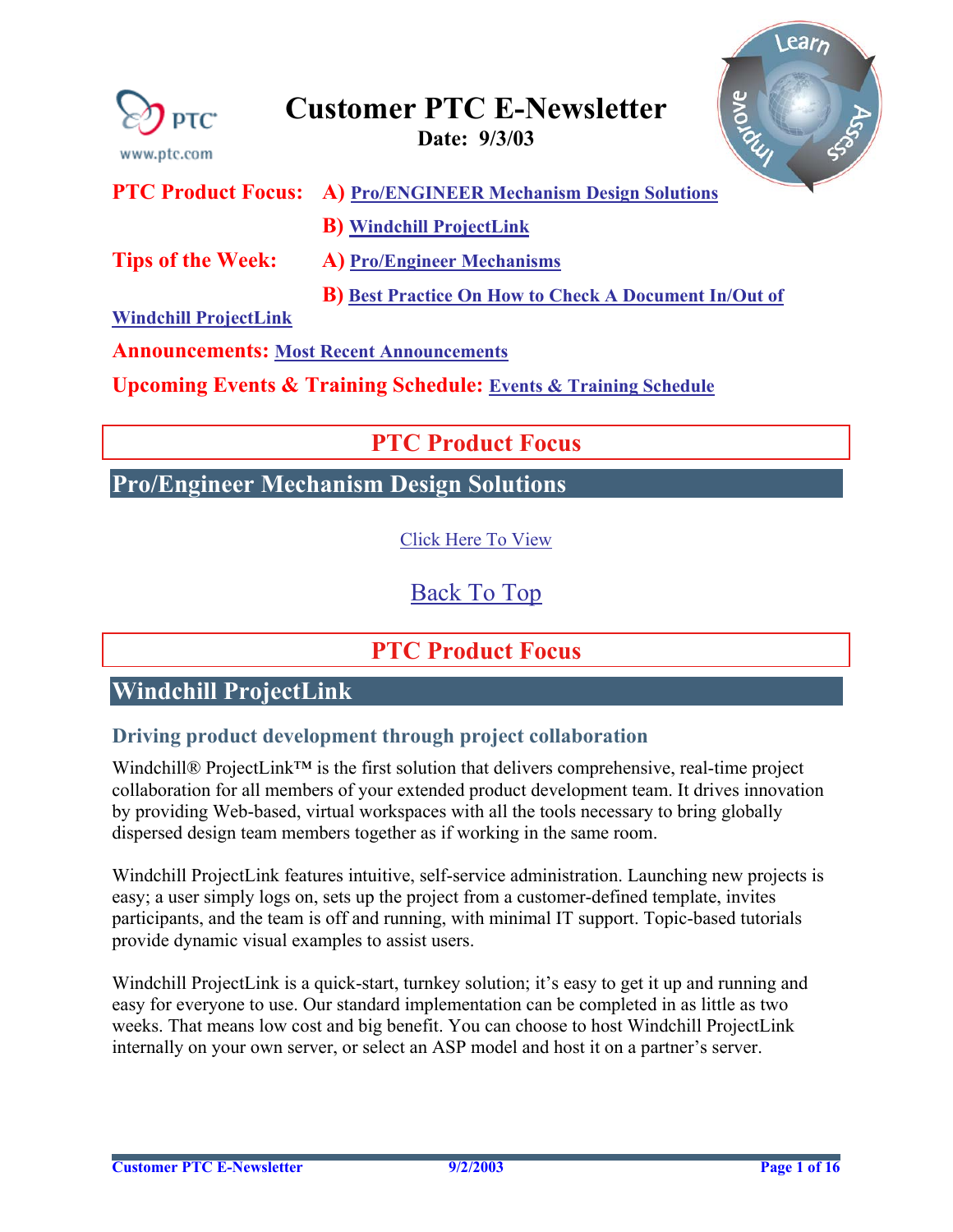<span id="page-0-0"></span>

**[Windchill ProjectLink](#page-5-0)**

#### **Announcements: [Most Recent Announcements](#page-14-0)**

**Upcoming Events & Training Schedule: [Events & Training Schedule](#page-15-0)**

# **PTC Product Focus**

**Pro/Engineer Mechanism Design Solutions**

[Click Here To View](http://members.shaw.ca/jpeng/newsletter/Customer_PTC_E-Newsletter_9-3-2003_A.pdf)

[Back To Top](#page-0-0)

# **PTC Product Focus**

# **Windchill ProjectLink**

#### **Driving product development through project collaboration**

Windchill® ProjectLink™ is the first solution that delivers comprehensive, real-time project collaboration for all members of your extended product development team. It drives innovation by providing Web-based, virtual workspaces with all the tools necessary to bring globally dispersed design team members together as if working in the same room.

Windchill ProjectLink features intuitive, self-service administration. Launching new projects is easy; a user simply logs on, sets up the project from a customer-defined template, invites participants, and the team is off and running, with minimal IT support. Topic-based tutorials provide dynamic visual examples to assist users.

Windchill ProjectLink is a quick-start, turnkey solution; it's easy to get it up and running and easy for everyone to use. Our standard implementation can be completed in as little as two weeks. That means low cost and big benefit. You can choose to host Windchill ProjectLink internally on your own server, or select an ASP model and host it on a partner's server.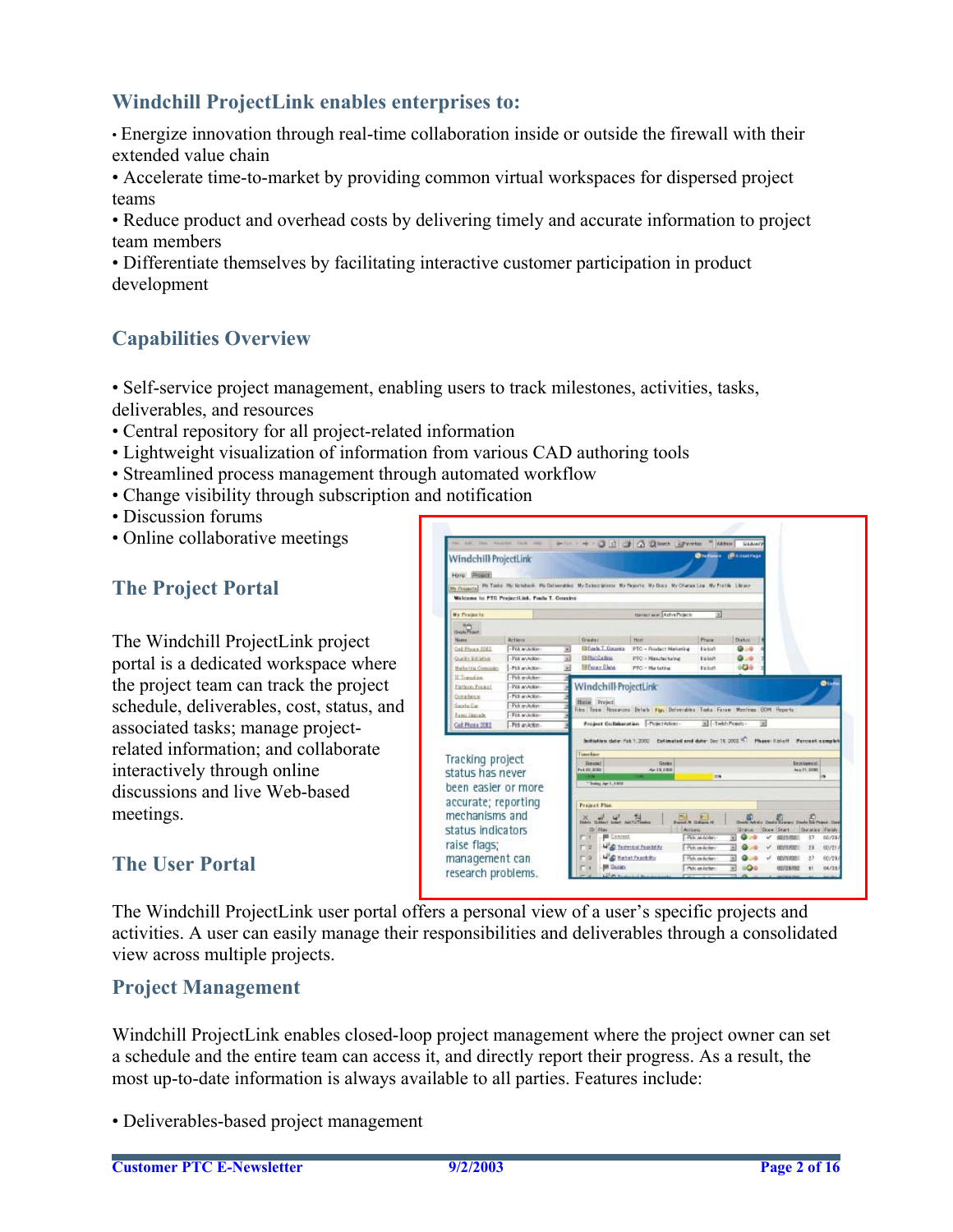#### **Windchill ProjectLink enables enterprises to:**

• Energize innovation through real-time collaboration inside or outside the firewall with their extended value chain

• Accelerate time-to-market by providing common virtual workspaces for dispersed project teams

• Reduce product and overhead costs by delivering timely and accurate information to project team members

• Differentiate themselves by facilitating interactive customer participation in product development

## **Capabilities Overview**

• Self-service project management, enabling users to track milestones, activities, tasks, deliverables, and resources

- Central repository for all project-related information
- Lightweight visualization of information from various CAD authoring tools
- Streamlined process management through automated workflow
- Change visibility through subscription and notification
- Discussion forums
- Online collaborative meetings

#### **The Project Portal**

The Windchill ProjectLink project portal is a dedicated workspace where the project team can track the project schedule, deliverables, cost, status, and associated tasks; manage projectrelated information; and collaborate interactively through online discussions and live Web-based meetings.

| Windchill ProjectLink<br>Hang Project<br>Mr Frojecta                                                                                      | My Taske My Netsbook My Deliverables My Salesziptions. My Paports: My Docs. My Chanes Los. My Fretile Library-<br>Welcome to PTG ProjectLink. Fiells T. Country. |                                                                                                                                                                 |                                                                              | <b>Children</b> (Rainathas          |        |                       |                                                                |
|-------------------------------------------------------------------------------------------------------------------------------------------|------------------------------------------------------------------------------------------------------------------------------------------------------------------|-----------------------------------------------------------------------------------------------------------------------------------------------------------------|------------------------------------------------------------------------------|-------------------------------------|--------|-----------------------|----------------------------------------------------------------|
| <b>Mr Projects</b>                                                                                                                        |                                                                                                                                                                  |                                                                                                                                                                 | <b>Banker as a Listin Projects</b>                                           | ×                                   |        |                       |                                                                |
|                                                                                                                                           |                                                                                                                                                                  |                                                                                                                                                                 |                                                                              |                                     |        |                       |                                                                |
| <b>Greate Finant</b><br><b>Hame</b>                                                                                                       | Actions                                                                                                                                                          | Graater                                                                                                                                                         | Harr                                                                         | <b>Pruss</b>                        | Bistar |                       |                                                                |
| Gell Phone 2083                                                                                                                           | - Poli an Intion<br>园                                                                                                                                            | <b>BEach T. Grooms</b>                                                                                                                                          | PTC - Product Marketing                                                      | <b>Elektrick</b>                    | Goo    |                       |                                                                |
| Quality \$30 letters                                                                                                                      | 固<br>Pick an Antion-                                                                                                                                             | <b>El Phil Calling</b>                                                                                                                                          | PTC - Nasche haine:                                                          | <b>Eighbiff</b>                     | 0.0    |                       |                                                                |
| <b><i><u><u>United its</u></u></i></b> Company                                                                                            | w)<br>Fit sakting                                                                                                                                                | <b>HEscar Glass</b>                                                                                                                                             | PTC - Na lating                                                              | <b>Fickers</b>                      | 60 ö   |                       |                                                                |
| <b>Il Travation</b>                                                                                                                       | - Pel an-Arteri                                                                                                                                                  |                                                                                                                                                                 |                                                                              |                                     |        |                       |                                                                |
| Firthrey Freiers                                                                                                                          | - Pollum Addan                                                                                                                                                   | Windchill ProjectLink                                                                                                                                           |                                                                              |                                     |        |                       | Øte                                                            |
| <b>Constitute</b>                                                                                                                         | - Firk an Action                                                                                                                                                 | Hans Preject                                                                                                                                                    |                                                                              |                                     |        |                       |                                                                |
| Sauta Gar-                                                                                                                                | - Peli aniletion                                                                                                                                                 |                                                                                                                                                                 | libs Team Researces Datab Flay Delverables Tasks Fasse Meclines GOM Reports. |                                     |        |                       |                                                                |
| Fanci Liscoale                                                                                                                            | - Poll an Integri-                                                                                                                                               |                                                                                                                                                                 |                                                                              |                                     |        |                       |                                                                |
| Call Phone 2001                                                                                                                           | -Fel asketing                                                                                                                                                    |                                                                                                                                                                 | <b>Project Collaboration - Project Adont-</b>                                | W - Switch Phoenix -                |        | w)                    |                                                                |
|                                                                                                                                           |                                                                                                                                                                  | Initiation date: Feb 1, 2002<br><b>Tame lines</b><br>Dimister!<br>$P = 6$ 21, 2002                                                                              | Estimated and date: Do 18, 2002. Phase: Kidu H.<br>Ques<br>Ar 11.1930        |                                     |        |                       | <b>Percent complet</b><br>De missens st.<br>Au + 21, 2092<br>m |
|                                                                                                                                           |                                                                                                                                                                  | Thing Jan 1, 1988                                                                                                                                               |                                                                              | <b>TR</b>                           |        |                       |                                                                |
|                                                                                                                                           |                                                                                                                                                                  | <b>Francis Plan</b>                                                                                                                                             |                                                                              |                                     |        |                       |                                                                |
|                                                                                                                                           |                                                                                                                                                                  |                                                                                                                                                                 |                                                                              |                                     |        |                       |                                                                |
|                                                                                                                                           |                                                                                                                                                                  | $\frac{1}{\sqrt{2}}\int_{-\infty}^{\infty} \frac{dx}{(x-y)^{2}} \frac{dx}{(x-y)^{2}} dx dy = \frac{1}{\sqrt{2}}\int_{-\infty}^{\infty} \frac{dx}{(x-y)^{2}} dx$ |                                                                              |                                     |        |                       |                                                                |
|                                                                                                                                           |                                                                                                                                                                  | <b>ITAS Plan</b><br><b>BE Cancerd</b>                                                                                                                           | Arrived                                                                      | Pick as de lan-                     |        | Down Stort<br>02/3702 | Diaria<br>37                                                   |
|                                                                                                                                           |                                                                                                                                                                  |                                                                                                                                                                 |                                                                              |                                     |        | 1011100               | of Deal<br>Field.<br>02/58                                     |
| Tracking project<br>status has never<br>been easier or more<br>accurate; reporting<br>mechanisms and<br>status indicators<br>raise flags; |                                                                                                                                                                  |                                                                                                                                                                 | <b>We Testmon Football</b>                                                   | Fich on Action                      |        |                       | 02/21<br>28                                                    |
| management can<br>research problems.                                                                                                      |                                                                                                                                                                  | <b>Bill Gazier</b>                                                                                                                                              | <b>WE Hand Frankly</b>                                                       | - Picks an Action<br>Pick as Aichen |        | 02/3702<br>02/28/02   | 02/21<br>37<br>04/28<br>Ħ                                      |

#### **The User Portal**

The Windchill ProjectLink user portal offers a personal view of a user's specific projects and activities. A user can easily manage their responsibilities and deliverables through a consolidated view across multiple projects.

#### **Project Management**

Windchill ProjectLink enables closed-loop project management where the project owner can set a schedule and the entire team can access it, and directly report their progress. As a result, the most up-to-date information is always available to all parties. Features include:

• Deliverables-based project management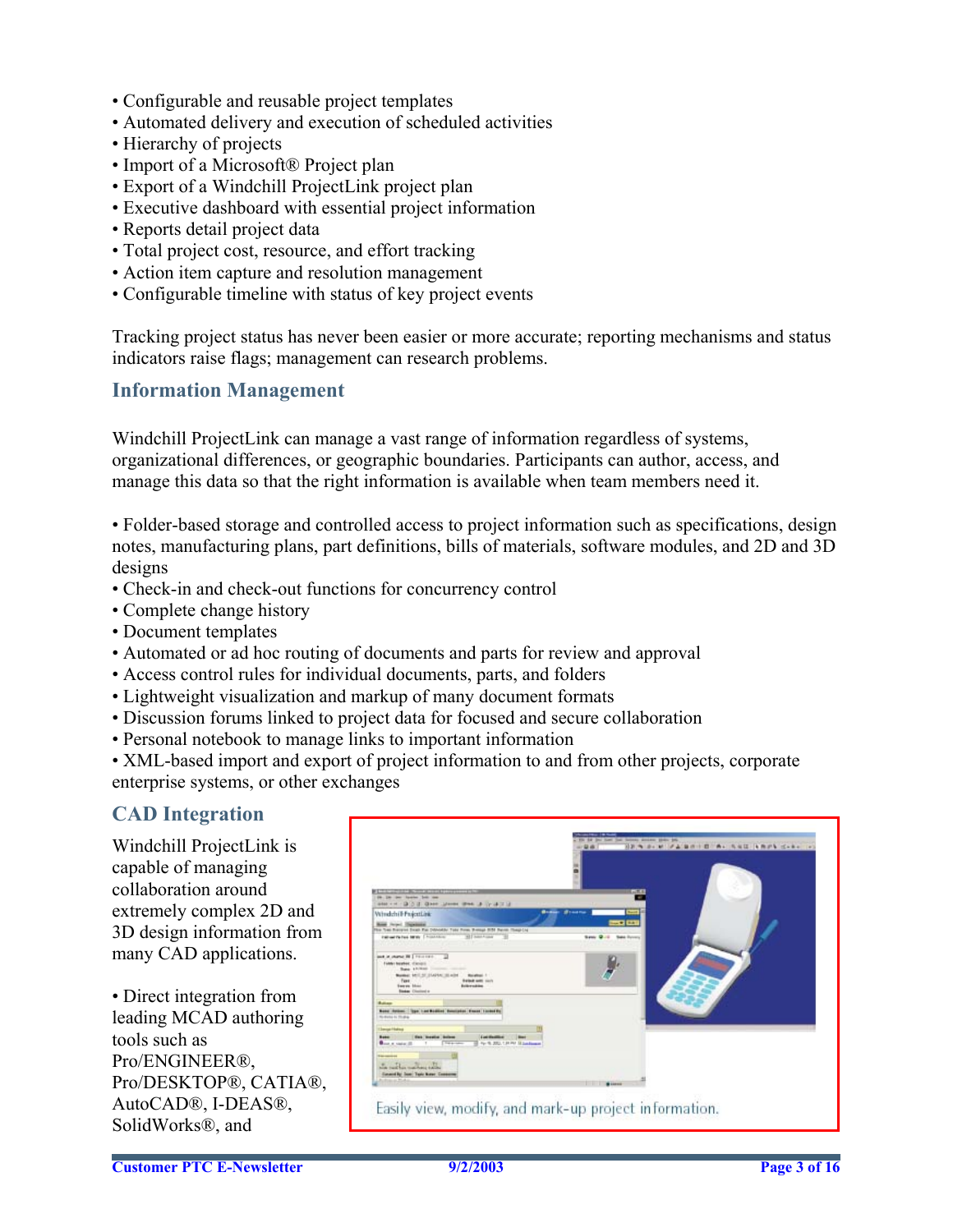- Configurable and reusable project templates
- Automated delivery and execution of scheduled activities
- Hierarchy of projects
- Import of a Microsoft<sup>®</sup> Project plan
- Export of a Windchill ProjectLink project plan
- Executive dashboard with essential project information
- Reports detail project data
- Total project cost, resource, and effort tracking
- Action item capture and resolution management
- Configurable timeline with status of key project events

Tracking project status has never been easier or more accurate; reporting mechanisms and status indicators raise flags; management can research problems.

#### **Information Management**

Windchill ProjectLink can manage a vast range of information regardless of systems, organizational differences, or geographic boundaries. Participants can author, access, and manage this data so that the right information is available when team members need it.

• Folder-based storage and controlled access to project information such as specifications, design notes, manufacturing plans, part definitions, bills of materials, software modules, and 2D and 3D designs

- Check-in and check-out functions for concurrency control
- Complete change history
- Document templates
- Automated or ad hoc routing of documents and parts for review and approval
- Access control rules for individual documents, parts, and folders
- Lightweight visualization and markup of many document formats
- Discussion forums linked to project data for focused and secure collaboration
- Personal notebook to manage links to important information

• XML-based import and export of project information to and from other projects, corporate enterprise systems, or other exchanges

#### **CAD Integration**

Windchill ProjectLink is capable of managing collaboration around extremely complex 2D and 3D design information from many CAD applications.

• Direct integration from leading MCAD authoring tools such as Pro/ENGINEER®, Pro/DESKTOP®, CATIA®, AutoCAD®, I-DEAS®, SolidWorks®, and



Easily view, modify, and mark-up project information.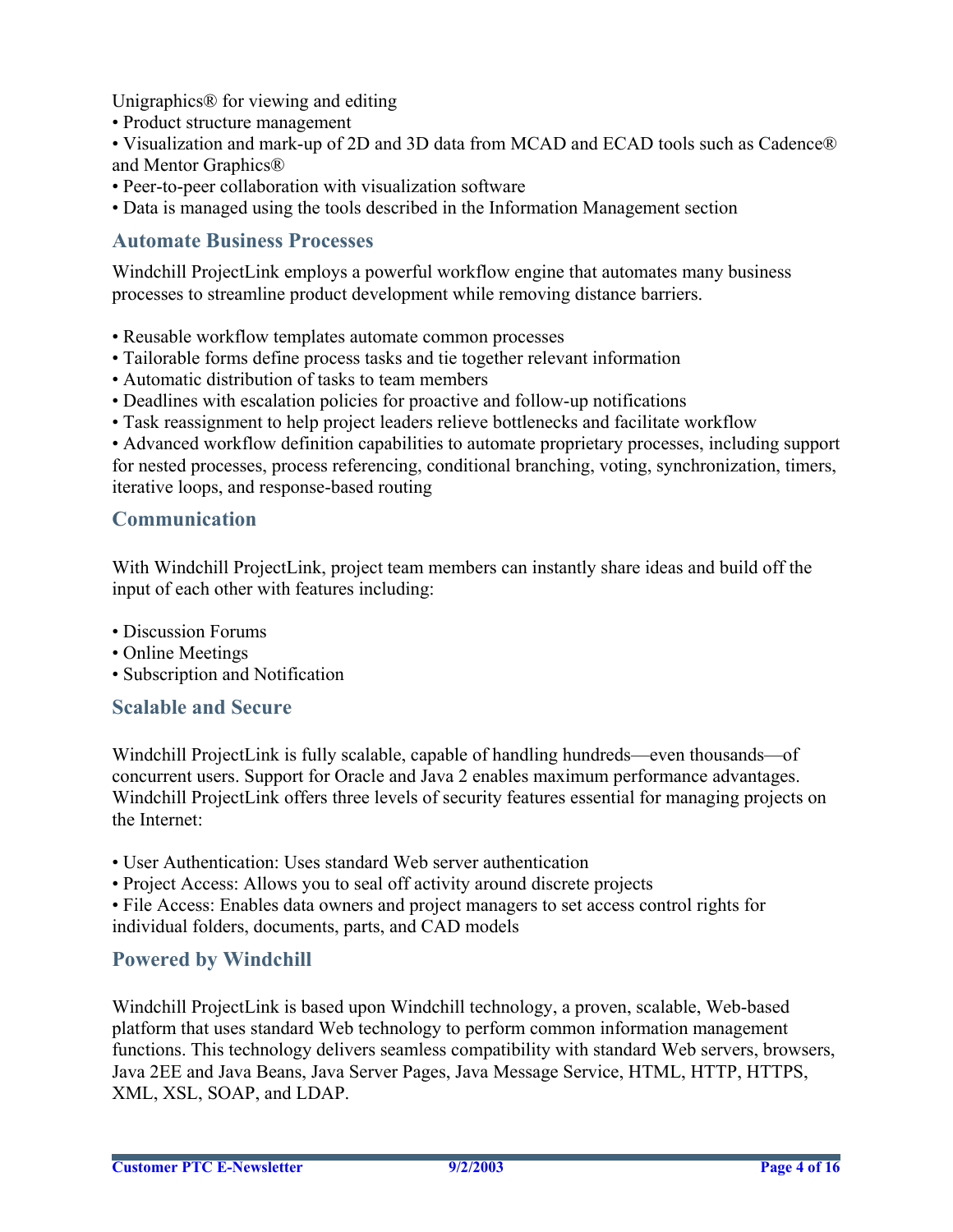Unigraphics® for viewing and editing

• Product structure management

• Visualization and mark-up of 2D and 3D data from MCAD and ECAD tools such as Cadence® and Mentor Graphics®

- Peer-to-peer collaboration with visualization software
- Data is managed using the tools described in the Information Management section

#### **Automate Business Processes**

Windchill ProjectLink employs a powerful workflow engine that automates many business processes to streamline product development while removing distance barriers.

- Reusable workflow templates automate common processes
- Tailorable forms define process tasks and tie together relevant information
- Automatic distribution of tasks to team members
- Deadlines with escalation policies for proactive and follow-up notifications
- Task reassignment to help project leaders relieve bottlenecks and facilitate workflow

• Advanced workflow definition capabilities to automate proprietary processes, including support for nested processes, process referencing, conditional branching, voting, synchronization, timers, iterative loops, and response-based routing

#### **Communication**

With Windchill ProjectLink, project team members can instantly share ideas and build off the input of each other with features including:

- Discussion Forums
- Online Meetings
- Subscription and Notification

#### **Scalable and Secure**

Windchill ProjectLink is fully scalable, capable of handling hundreds—even thousands—of concurrent users. Support for Oracle and Java 2 enables maximum performance advantages. Windchill ProjectLink offers three levels of security features essential for managing projects on the Internet:

- User Authentication: Uses standard Web server authentication
- Project Access: Allows you to seal off activity around discrete projects

• File Access: Enables data owners and project managers to set access control rights for individual folders, documents, parts, and CAD models

#### **Powered by Windchill**

Windchill ProjectLink is based upon Windchill technology, a proven, scalable, Web-based platform that uses standard Web technology to perform common information management functions. This technology delivers seamless compatibility with standard Web servers, browsers, Java 2EE and Java Beans, Java Server Pages, Java Message Service, HTML, HTTP, HTTPS, XML, XSL, SOAP, and LDAP.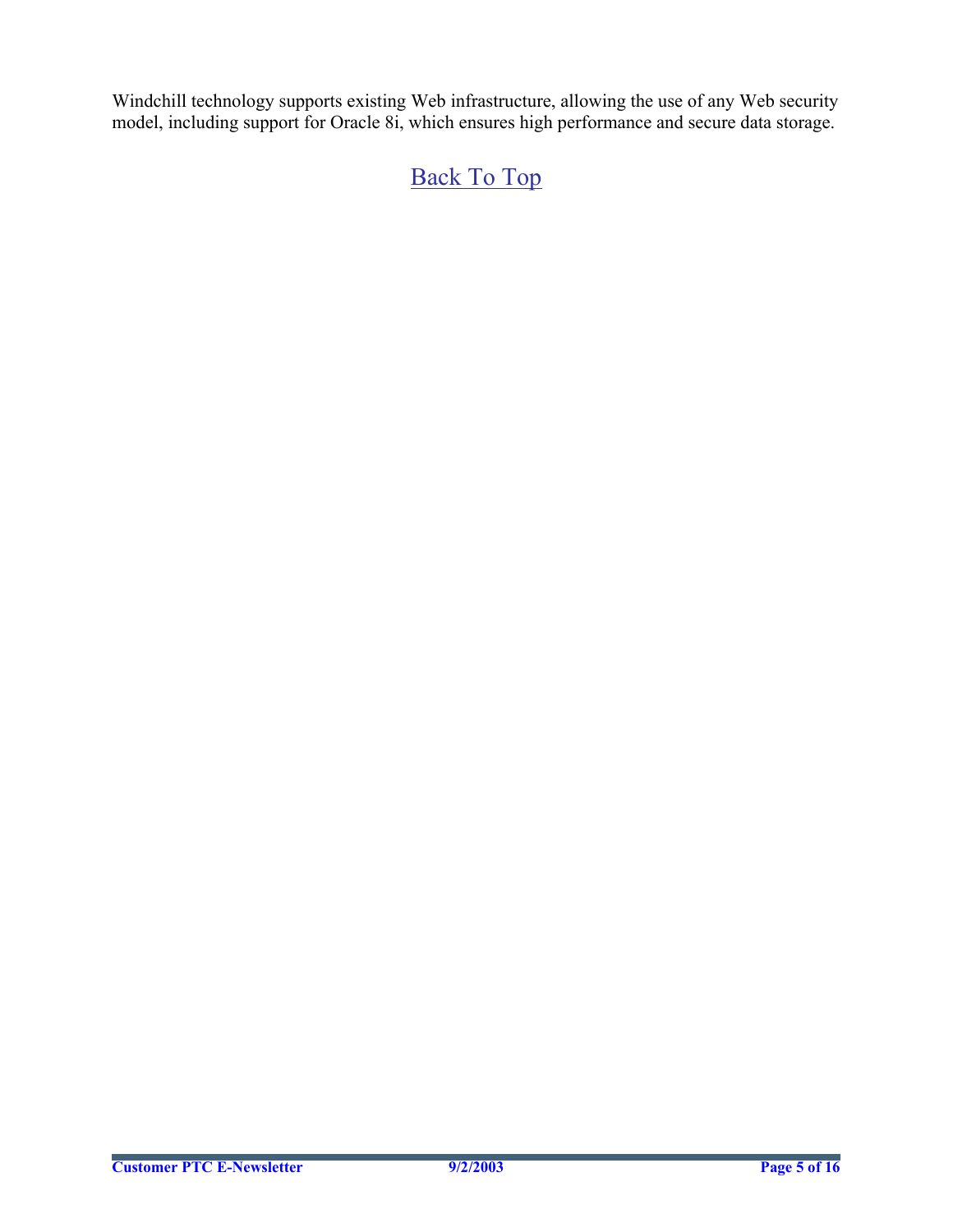Windchill technology supports existing Web infrastructure, allowing the use of any Web security model, including support for Oracle 8i, which ensures high performance and secure data storage.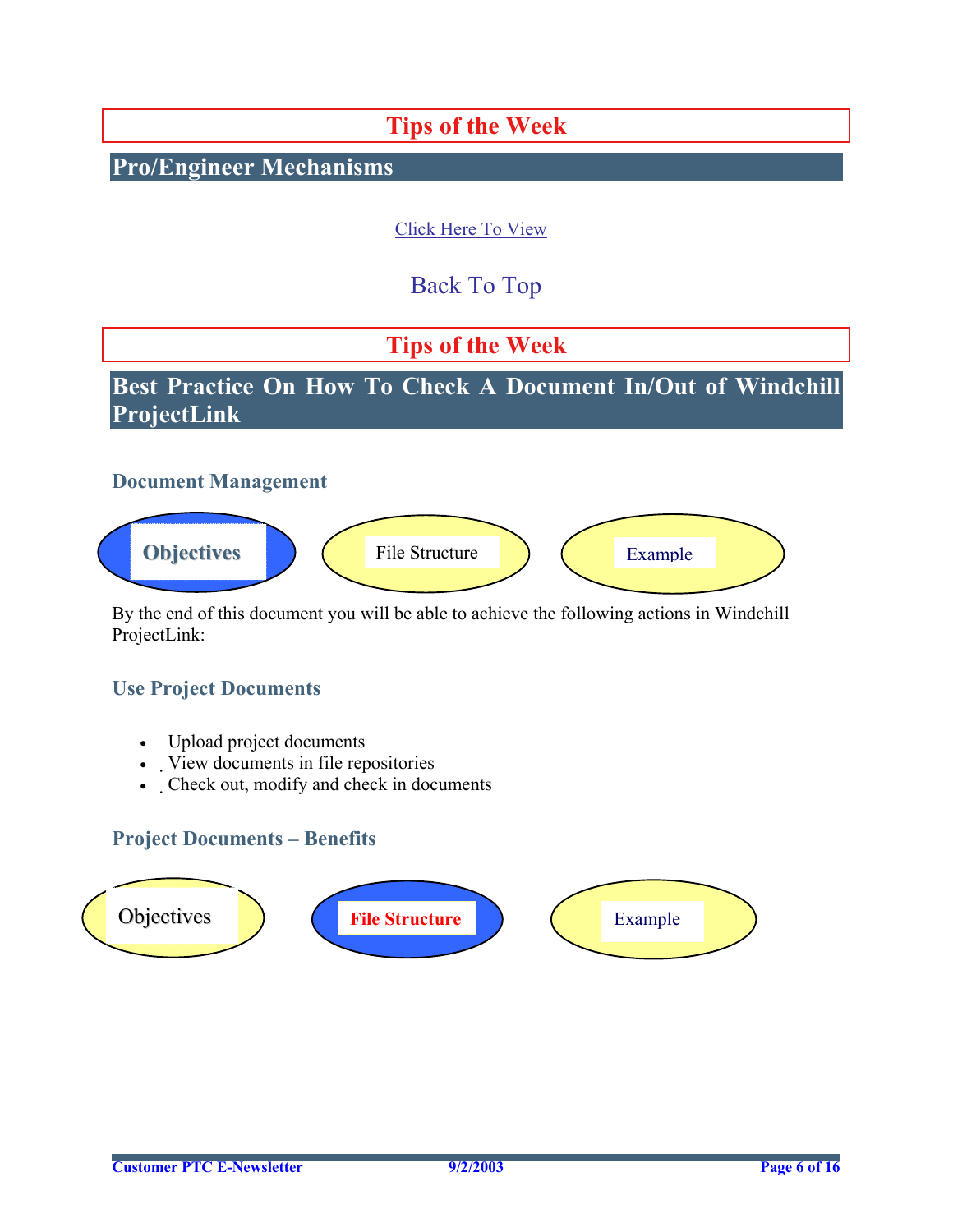# **Tips of the Week**

# <span id="page-5-0"></span>**Pro/Engineer Mechanisms**

#### [Click Here To View](http://members.shaw.ca/jpeng/newsletter/Customer_PTC_E-Newsletter_9-3-2003_A.pdf)

# [Back To Top](#page-0-0)

# **Tips of the Week**

**Best Practice On How To Check A Document In/Out of Windchill ProjectLink** 

#### **Document Management**



By the end of this document you will be able to achieve the following actions in Windchill ProjectLink:

#### **Use Project Documents**

- Upload project documents
- View documents in file repositories
- Check out, modify and check in documents

#### **Project Documents – Benefits**

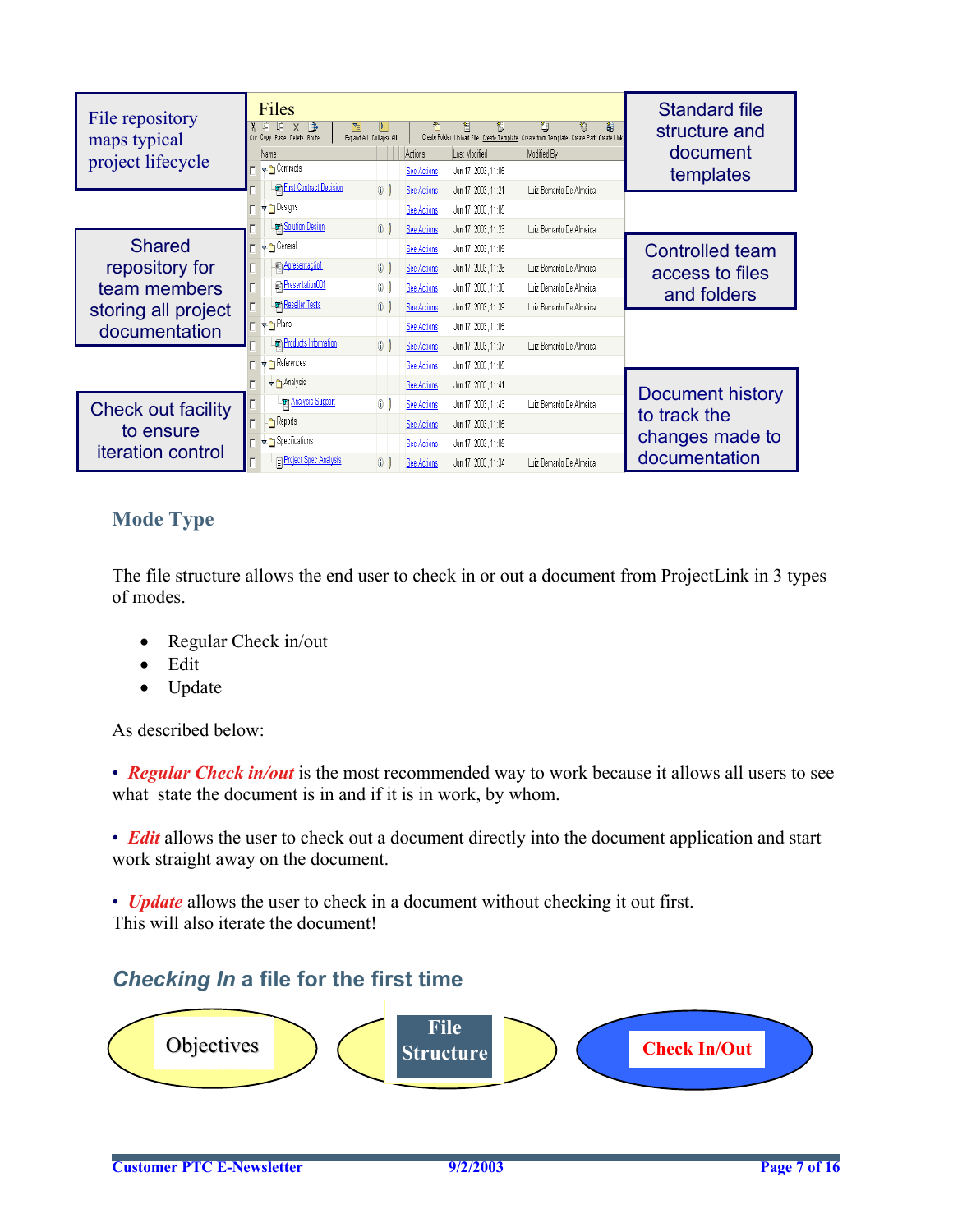| File repository<br>maps typical | Files<br>訇<br>訇<br>咱<br>뼵<br>行<br>自<br>$\mathsf{X}$<br>事<br> )−<br>Cut Copy Paste Delete Route<br>Create Folder Upload File Create Template Create from Template Create Part Create Link<br>Expand All Collapse All | Standard file<br>â,<br>y<br>想<br>structure and |
|---------------------------------|---------------------------------------------------------------------------------------------------------------------------------------------------------------------------------------------------------------------|------------------------------------------------|
| project lifecycle               | Actions<br>Last Modified<br>Name                                                                                                                                                                                    | document<br>Modified By                        |
|                                 | <b>Example 1</b> Contracts<br>Jun 17, 2003, 11:05<br>See Actions                                                                                                                                                    | templates                                      |
|                                 | First Contract Decision<br>$\circ$<br>See Actions<br>Jun 17, 2003, 11:21                                                                                                                                            | Luiz Bemardo De Almeida                        |
|                                 | l → Designs<br>Jun 17, 2003, 11:05<br><b>See Actions</b>                                                                                                                                                            |                                                |
|                                 | Solution Design<br>$\circ$<br>See Actions<br>Jun 17, 2003, 11:23                                                                                                                                                    | Luiz Bemardo De Almeida                        |
| <b>Shared</b>                   | General<br>п<br>Jun 17, 2003, 11:05<br><b>See Actions</b>                                                                                                                                                           | <b>Controlled team</b>                         |
| repository for                  | <b>En Apresentação1</b><br>$\circ$<br>See Actions<br>Jun 17, 2003, 11:26                                                                                                                                            | Luiz Bemardo De Almeida<br>access to files     |
| team members                    | Presentation001<br>$\circ$<br>Jun 17, 2003, 11:30<br>See Actions                                                                                                                                                    | Luiz Bemardo De Almeida<br>and folders         |
| storing all project             | <b>BR</b> Reseller Tests<br>$\odot$<br>Jun 17, 2003, 11:39<br>See Actions                                                                                                                                           | Luiz Bemardo De Almeida                        |
| documentation                   | $\blacktriangleright$ Plans<br>Jun 17, 2003, 11:05<br>See Actions                                                                                                                                                   |                                                |
|                                 | Products Information<br>$\odot$<br>Jun 17, 2003, 11:37<br>See Actions                                                                                                                                               | Luiz Bemardo De Almeida                        |
|                                 | References<br>See Actions<br>Jun 17, 2003, 11:05                                                                                                                                                                    |                                                |
|                                 | Analysis<br>Jun 17, 2003, 11:41<br>See Actions                                                                                                                                                                      |                                                |
| <b>Check out facility</b>       | <b>Em Analysis Support</b><br>$\circ$<br>Jun 17, 2003, 11:43<br>See Actions                                                                                                                                         | Document history<br>Luiz Bemardo De Almeida    |
| to ensure                       | Reports<br>Jun 17, 2003, 11:05<br><b>See Actions</b>                                                                                                                                                                | to track the                                   |
|                                 | Specifications<br>Jun 17, 2003, 11:05<br>See Actions                                                                                                                                                                | changes made to                                |
| <b>iteration</b> control        | Project Spec Analysis<br>$\circ$<br>Jun 17, 2003, 11:34<br>See Actions                                                                                                                                              | documentation<br>Luiz Bemardo De Almeida       |

## **Mode Type**

The file structure allows the end user to check in or out a document from ProjectLink in 3 types of modes.

- Regular Check in/out
- Edit
- Update

As described below:

• **Regular Check in/out** is the most recommended way to work because it allows all users to see what state the document is in and if it is in work, by whom.

• *Edit* allows the user to check out a document directly into the document application and start work straight away on the document.

• *Update* allows the user to check in a document without checking it out first. This will also iterate the document!

# *Checking In* **a file for the first time**

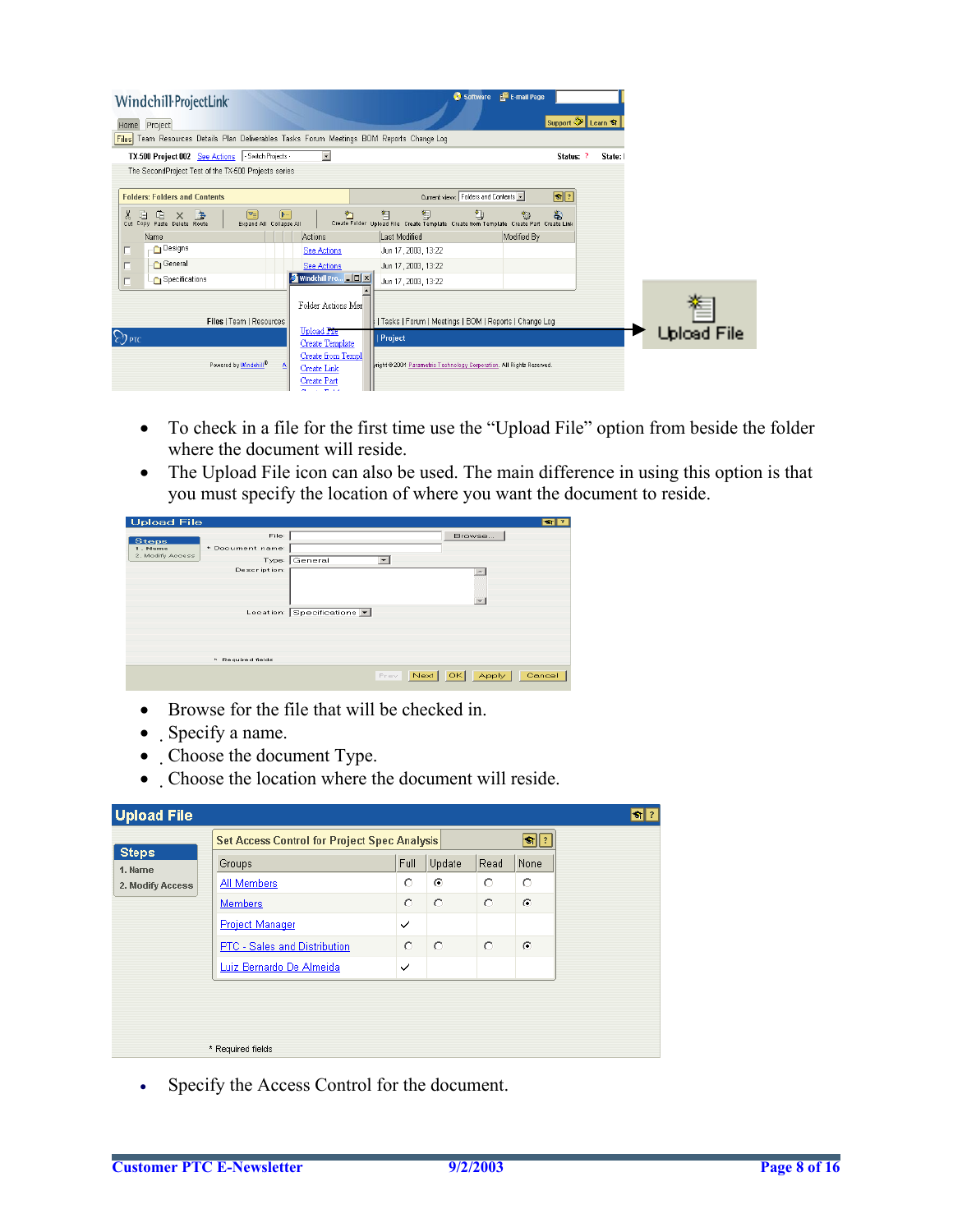| Windchill ProjectLink<br>Home Project<br>Files Team Resources Details Plan Deliverables Tasks Forum Meetings BOM Reports Change Log                                                                                 |                                                                                 |                                                                                                                                                                                                            | Software <b>E</b> E-mail Page<br>Support 2 Learn & |                    |
|---------------------------------------------------------------------------------------------------------------------------------------------------------------------------------------------------------------------|---------------------------------------------------------------------------------|------------------------------------------------------------------------------------------------------------------------------------------------------------------------------------------------------------|----------------------------------------------------|--------------------|
| TX-500 Project 002 See Actions   Switch Projects -<br>The SecondProject Test of the TX-500 Projects series                                                                                                          |                                                                                 |                                                                                                                                                                                                            | State: I<br>Status: ?                              |                    |
| <b>Folders: Folders and Contents</b><br>自<br>ल≡<br>$\sqrt{P}$<br>X<br>主<br>响<br>$\times$<br>Cut Copy Paste Delete Route<br>Expand All Collapse All<br>Name<br>- Designs<br>г<br>General<br>$\Box$<br>Specifications | 料<br>Actions<br><b>See Actions</b><br>See Actions<br>Windchill Pro <b>THE X</b> | Current view: Folders and Contents<br>匍<br>訕<br>皙<br>Create Folder Upload File Create Template Create from Template Create Part Create Link<br>Last Modified<br>Jun 17, 2003, 13:22<br>Jun 17, 2003, 13:22 | $\boxed{\bullet}$ ?<br>畜<br>稻<br>Modified By       |                    |
| $\Box$<br>Files   Team   Resources<br>$\bigcirc$ PTC                                                                                                                                                                | Folder Actions Mer<br>Upload File<br>Create Template                            | Jun 17, 2003, 13:22<br>  Tasks   Forum   Meetings   BOM   Reports   Change Log<br><b>Project</b>                                                                                                           |                                                    | <b>Upload File</b> |
| Powered by Windchill®                                                                                                                                                                                               | Create from Templ<br>Create Link<br>Create Part                                 | vright @ 2001 Parametric Technology Corporation. All Rights Reserved.                                                                                                                                      |                                                    |                    |

- To check in a file for the first time use the "Upload File" option from beside the folder where the document will reside.
- The Upload File icon can also be used. The main difference in using this option is that you must specify the location of where you want the document to reside.

| <b>Upload File</b> |                   |                            |      |                  |        |        |
|--------------------|-------------------|----------------------------|------|------------------|--------|--------|
| <b>Steps</b>       | File:             |                            |      |                  | Browse |        |
| 1. Name            | * Document name:  |                            |      |                  |        |        |
| 2. Modify Access   |                   | Type: General              | ۰    |                  |        |        |
|                    | Description:      |                            |      |                  |        |        |
|                    |                   | Location: Specifications - |      |                  |        |        |
|                    | * Required fields |                            |      |                  |        |        |
|                    |                   |                            | Prev | <b>OK</b><br>New | Apply  | Cancel |

- Browse for the file that will be checked in.
- Specify a name.
- Choose the document Type.
- Choose the location where the document will reside.

| <b>Upload File</b>      |                                                                   |              |         |         |         |  |  |  |  |  |
|-------------------------|-------------------------------------------------------------------|--------------|---------|---------|---------|--|--|--|--|--|
|                         | <u>sla</u><br><b>Set Access Control for Project Spec Analysis</b> |              |         |         |         |  |  |  |  |  |
| <b>Steps</b><br>1. Name | Groups                                                            | Full         | Update  | Read    | None    |  |  |  |  |  |
| 2. Modify Access        | <b>All Members</b>                                                | O            | ⊙       | О       | $\circ$ |  |  |  |  |  |
|                         | <b>Members</b>                                                    | $\circ$      | $\circ$ | $\circ$ | $\odot$ |  |  |  |  |  |
|                         | <b>Project Manager</b>                                            | $\checkmark$ |         |         |         |  |  |  |  |  |
|                         | PTC - Sales and Distribution                                      | $\circ$      | $\circ$ | $\circ$ | $\odot$ |  |  |  |  |  |
|                         | Luiz Bernardo De Almeida                                          | $\checkmark$ |         |         |         |  |  |  |  |  |
|                         |                                                                   |              |         |         |         |  |  |  |  |  |
|                         |                                                                   |              |         |         |         |  |  |  |  |  |
|                         |                                                                   |              |         |         |         |  |  |  |  |  |
|                         | * Required fields                                                 |              |         |         |         |  |  |  |  |  |

• Specify the Access Control for the document.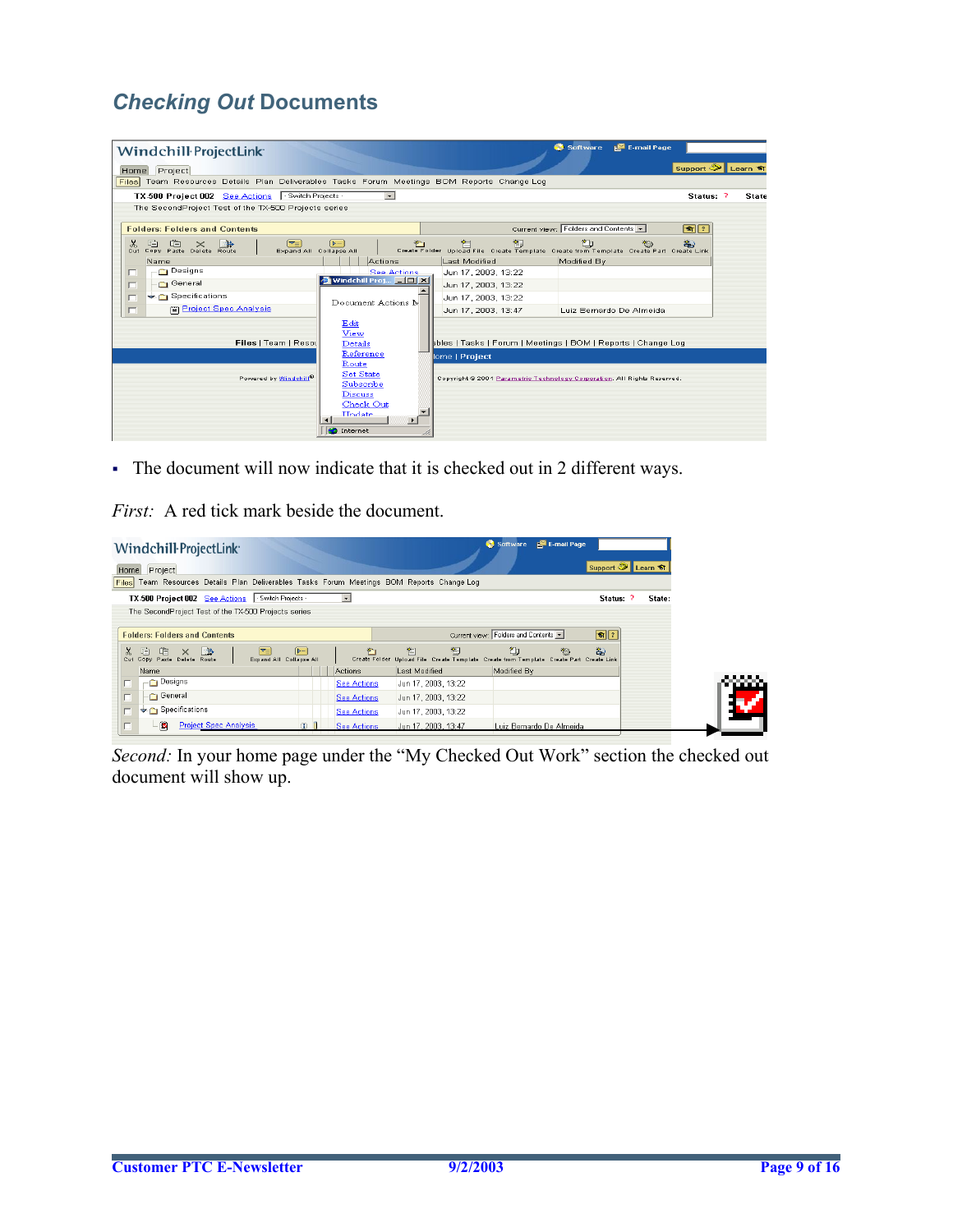# *Checking Out* **Documents**

| Windchill ProjectLink<br>Home Project<br>Files Team Resources Details Plan Deliverables Tasks Forum Meetings BOM Reports Change Log                 |                                                                                                                                    |                                                                                                                                                                            | Software                                 | <b>E</b> E-mail Page<br>Support 2 Learn of |
|-----------------------------------------------------------------------------------------------------------------------------------------------------|------------------------------------------------------------------------------------------------------------------------------------|----------------------------------------------------------------------------------------------------------------------------------------------------------------------------|------------------------------------------|--------------------------------------------|
| TX-500 Project 002 See Actions Switch Projects -<br>The SecondProject Test of the TX-500 Projects series                                            | $\mathbf{r}$                                                                                                                       |                                                                                                                                                                            |                                          | Status: ?<br><b>State</b>                  |
| <b>Enlders: Enlders and Contents</b><br>$\blacktriangledown$<br>X.<br>그리<br>咱<br>$\times$<br>Cut Copy Paste Delete Route<br>Expand All Collapse All | $ D -$                                                                                                                             | Create Folder Upload File Create Template Create from Template Create Part Create Link                                                                                     | Current view: Folders and Contents<br>Ц, | $\Box$ ?<br>参                              |
| Name<br>∩ Designs<br>г<br>∩ General<br>г<br>← Specifications<br>г<br>Project Spec Analysis<br>$\Box$<br>Files   Team   Resou                        | Actions<br><b>See Actions</b><br><b>Windchill Proj HID X</b><br>Document Actions Iv<br>Edit<br>View<br>Details                     | Last Modified<br>Jun 17, 2003, 13:22<br>Jun 17, 2003, 13:22<br>Jun 17, 2003, 13:22<br>Jun 17, 2003, 13:47<br>ables   Tasks   Forum   Meetings   BOM   Reports   Change Log | Modified By<br>Luiz Bernardo De Almeida  |                                            |
| Powered by Windchill <sup>®</sup>                                                                                                                   | Reference<br>Route<br>Set State<br>Subscribe<br>Discuss<br>Check Out<br><b>TIndate</b><br>$\vert \cdot \vert$<br><b>O</b> Internet | lome   Project<br>Copyright @ 2001 Parametric Technology Corporation. All Rights Reserved.                                                                                 |                                          |                                            |

The document will now indicate that it is checked out in 2 different ways.

*First:* A red tick mark beside the document.

| Windchill ProjectLink                                                                            |                    |                                                                                             | <b>E-mail Page</b><br>Software     |                     |  |
|--------------------------------------------------------------------------------------------------|--------------------|---------------------------------------------------------------------------------------------|------------------------------------|---------------------|--|
| Home Project                                                                                     |                    |                                                                                             |                                    | Support 2 Learn S   |  |
| Files Team Resources Details Plan Deliverables Tasks Forum Meetings BOM Reports Change Log       |                    |                                                                                             |                                    |                     |  |
| TX-500 Project 002 See Actions Switch Projects -                                                 |                    |                                                                                             |                                    | State:<br>Status: ? |  |
| The SecondProject Test of the TX-500 Projects series                                             |                    |                                                                                             |                                    |                     |  |
| <b>Folders: Folders and Contents</b>                                                             |                    |                                                                                             | Current view: Folders and Contents | $ S $ ?             |  |
| X.<br>$\times$<br>$\mathbf{H}$<br>啯<br>Copy Paste Delete Route<br>Expand All Collapse All<br>Cut |                    | 袍<br>Create Folder Upload File Create Template Create from Template Create Part Create Link | 御<br>$\pi_{\odot}$                 | 畜                   |  |
| Name                                                                                             | <b>Actions</b>     | Last Modified                                                                               | Modified By                        |                     |  |
| ∩ Designs                                                                                        | <b>See Actions</b> | Jun 17, 2003, 13:22                                                                         |                                    |                     |  |
| <b>General</b>                                                                                   | <b>See Actions</b> | Jun 17, 2003, 13:22                                                                         |                                    |                     |  |
| Specifications<br>П                                                                              | See Actions        | Jun 17, 2003, 13:22                                                                         |                                    |                     |  |
| ×<br><b>Project Spec Analysis</b><br>$\omega$                                                    | See Actions        | Jun 17, 2003, 13:47                                                                         | Luiz Bernardo De Almeida           |                     |  |

*Second:* In your home page under the "My Checked Out Work" section the checked out document will show up.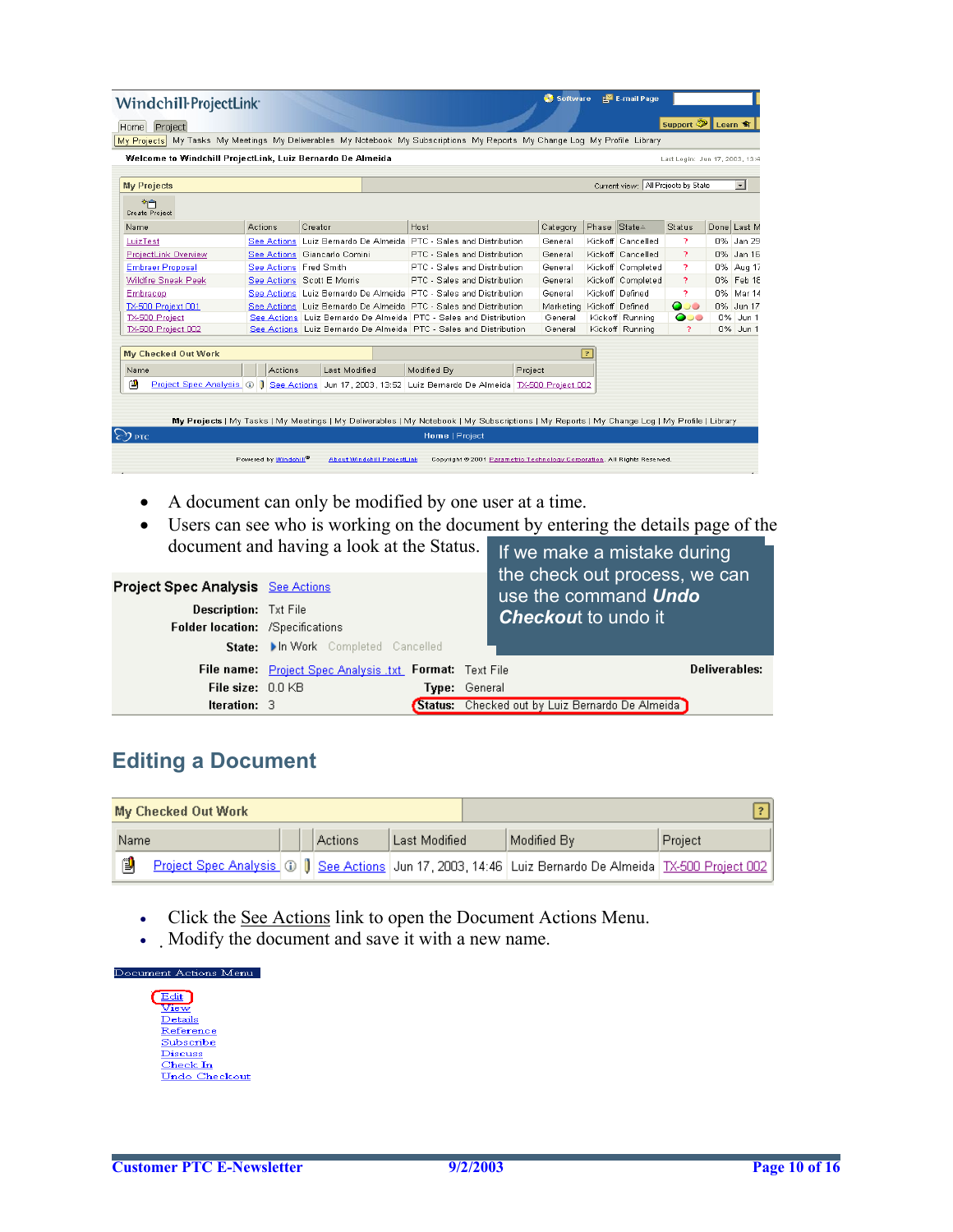| Windchill ProjectLink                                                                                                     |                                   |         |                                                                       |                                    |                                                                                                                                             |                              | Software  |              | E-mail Page                         |                                |                     |
|---------------------------------------------------------------------------------------------------------------------------|-----------------------------------|---------|-----------------------------------------------------------------------|------------------------------------|---------------------------------------------------------------------------------------------------------------------------------------------|------------------------------|-----------|--------------|-------------------------------------|--------------------------------|---------------------|
| Home Project                                                                                                              |                                   |         |                                                                       |                                    |                                                                                                                                             |                              |           |              |                                     | Support 2 Learn St             |                     |
| My Projects My Tasks My Meetings My Deliverables My Notebook My Subscriptions My Reports My Change Log My Profile Library |                                   |         |                                                                       |                                    |                                                                                                                                             |                              |           |              |                                     |                                |                     |
|                                                                                                                           |                                   |         |                                                                       |                                    |                                                                                                                                             |                              |           |              |                                     |                                |                     |
| Welcome to Windchill ProjectLink, Luiz Bernardo De Almeida                                                                |                                   |         |                                                                       |                                    |                                                                                                                                             |                              |           |              |                                     | Last Login: Jun 17, 2003, 13:4 |                     |
| <b>My Projects</b>                                                                                                        |                                   |         |                                                                       |                                    |                                                                                                                                             |                              |           |              | Current view: All Projects by State |                                | $\vert \cdot \vert$ |
| $*_{\cap}$<br><b>Create Project</b>                                                                                       |                                   |         |                                                                       |                                    |                                                                                                                                             |                              |           |              |                                     |                                |                     |
| Name                                                                                                                      | Actions                           | Creator |                                                                       |                                    | Host                                                                                                                                        |                              | Category  | Phase State≜ |                                     | Status                         | Done Last M         |
| LuizTest                                                                                                                  |                                   |         | See Actions   Luiz Bernardo De Almeida   PTC - Sales and Distribution |                                    |                                                                                                                                             |                              | General   |              | Kickoff Cancelled                   | 2                              | 0% Jan 29           |
| ProjectLink Overview                                                                                                      |                                   |         | See Actions   Giancarlo Comini                                        |                                    | PTC - Sales and Distribution                                                                                                                |                              | General   |              | Kickoff Cancelled                   | P.                             | 0% Jan 16           |
| <b>Embraer Proposal</b>                                                                                                   | See Actions Fred Smith            |         |                                                                       |                                    |                                                                                                                                             | PTC - Sales and Distribution |           |              | Kickoff Completed                   | P.                             | 0% Aug 17           |
| Wildfire Sneak Peek                                                                                                       |                                   |         | See Actions   Scott E Morris                                          |                                    | PTC - Sales and Distribution                                                                                                                |                              | General   |              | Kickoff Completed                   | P.                             | 0% Feb 18           |
| Embracop                                                                                                                  |                                   |         |                                                                       |                                    | See Actions   Luiz Bernardo De Almeida   PTC - Sales and Distribution                                                                       |                              | General   |              | Kickoff Defined                     | P.                             | 0% Mar 14           |
| <b>TX-500 Projext 001</b>                                                                                                 |                                   |         |                                                                       |                                    | See Actions Luiz Bernardo De Almeida PTC - Sales and Distribution                                                                           |                              | Marketing |              | Kickoff Defined                     | 50<br>0                        | 0% Jun 17           |
| TX-500 Project                                                                                                            |                                   |         |                                                                       |                                    | See Actions   Luiz Bernardo De Almeida   PTC - Sales and Distribution                                                                       |                              | General   |              | Kickoff Running                     | 000                            | 0% Jun 1            |
| TX-500 Project 002                                                                                                        |                                   |         |                                                                       |                                    | See Actions Luiz Bernardo De Almeida PTC - Sales and Distribution                                                                           |                              | General   |              | Kickoff Running                     | P.                             | 0% Jun 1            |
| <b>My Checked Out Work</b>                                                                                                |                                   |         |                                                                       |                                    |                                                                                                                                             |                              |           | $\vert$ ?    |                                     |                                |                     |
|                                                                                                                           |                                   |         |                                                                       |                                    |                                                                                                                                             |                              |           |              |                                     |                                |                     |
| Name                                                                                                                      | Actions                           |         | Last Modified                                                         |                                    | Modified By                                                                                                                                 | Project                      |           |              |                                     |                                |                     |
| 闦                                                                                                                         |                                   |         |                                                                       |                                    | Project Spec Analysis (3)   See Actions Jun 17, 2003, 13:52 Luiz Bernardo De Almeida   TX-500 Project 002                                   |                              |           |              |                                     |                                |                     |
|                                                                                                                           |                                   |         |                                                                       |                                    |                                                                                                                                             |                              |           |              |                                     |                                |                     |
|                                                                                                                           |                                   |         |                                                                       |                                    | My Projects   My Tasks   My Meetings   My Deliverables   My Notebook   My Subscriptions   My Reports   My Change Log   My Profile   Library |                              |           |              |                                     |                                |                     |
| $\mathcal{D}_{\text{PTC}}$                                                                                                |                                   |         |                                                                       |                                    | <b>Home   Project</b>                                                                                                                       |                              |           |              |                                     |                                |                     |
|                                                                                                                           |                                   |         |                                                                       |                                    |                                                                                                                                             |                              |           |              |                                     |                                |                     |
|                                                                                                                           | Powered by Windchill <sup>®</sup> |         |                                                                       | <b>About Windchill ProjectLink</b> | Copyright @ 2001 Parametric Technology Corporation. All Rights Reserved.                                                                    |                              |           |              |                                     |                                |                     |
|                                                                                                                           |                                   |         |                                                                       |                                    |                                                                                                                                             |                              |           |              |                                     |                                |                     |

- A document can only be modified by one user at a time.
- Users can see who is working on the document by entering the details page of the document and having a look at the Status. If we make a mistake during

| <b>Project Spec Analysis</b> See Actions |                                                         | the check out process, we can<br>use the command <b>Undo</b> |
|------------------------------------------|---------------------------------------------------------|--------------------------------------------------------------|
| <b>Description:</b> Txt File             |                                                         | <b>Checkout to undo it</b>                                   |
| Folder location: /Specifications         |                                                         |                                                              |
|                                          | State: In Work Completed Cancelled                      |                                                              |
|                                          | File name: Project Spec Analysis .txt Format: Text File | Deliverables:                                                |
| File size: $0.0$ KB                      |                                                         | <b>Type:</b> General                                         |
| <b>Iteration: 3</b>                      |                                                         | <b>Status:</b> Checked out by Luiz Bernardo De Almeida       |

## **Editing a Document**

|      | My Checked Out Work |  |         |               |                                                                                                         |         |
|------|---------------------|--|---------|---------------|---------------------------------------------------------------------------------------------------------|---------|
| Name |                     |  | Actions | Last Modified | Modified By                                                                                             | Project |
| ß    |                     |  |         |               | Project Spec Analysis 1   See Actions Jun 17, 2003, 14:46 Luiz Bernardo De Almeida   TX-500 Project 002 |         |

- Click the See Actions link to open the Document Actions Menu.
- Modify the document and save it with a new name.

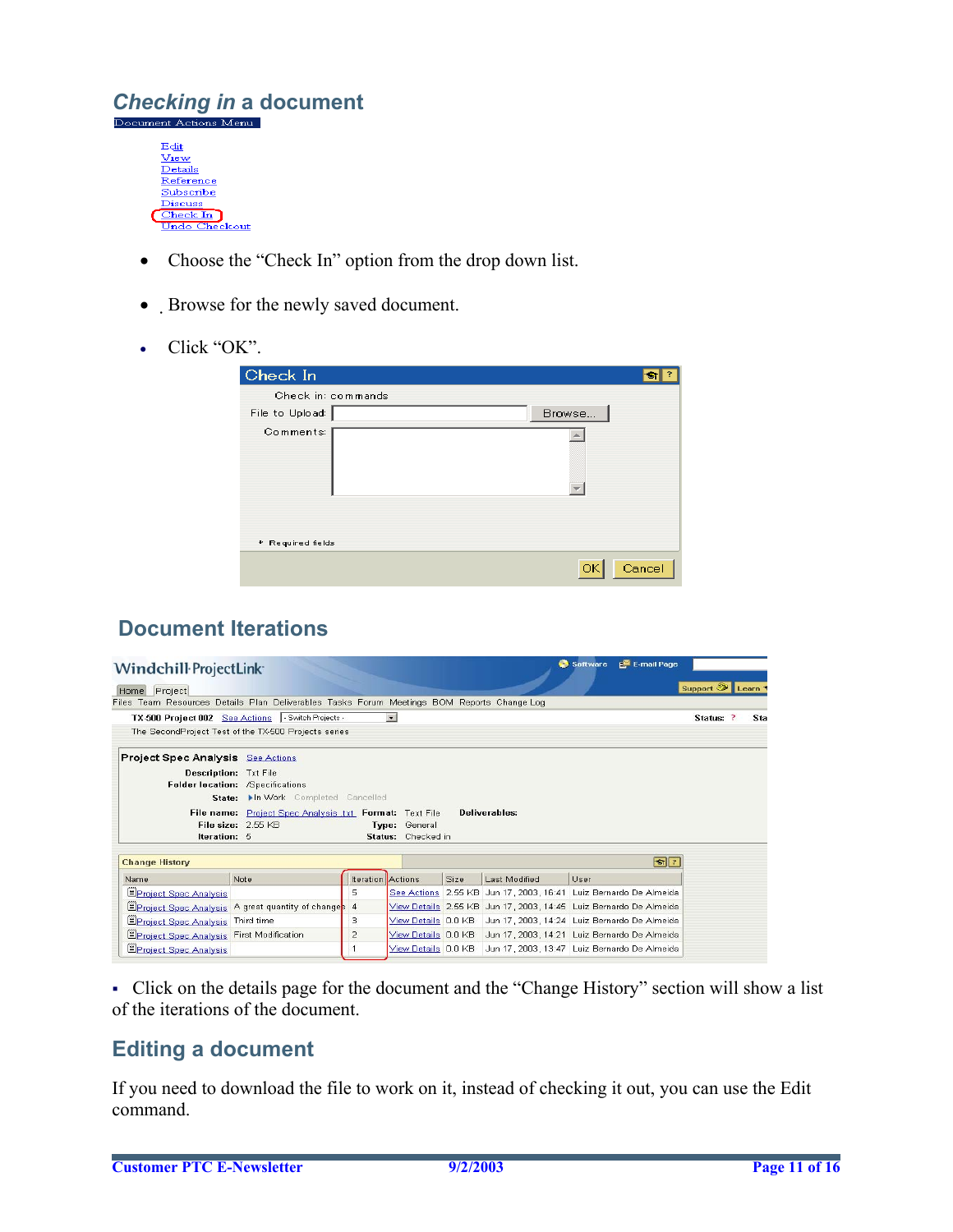# *Checking in* **a document**



- Choose the "Check In" option from the drop down list.
- Browse for the newly saved document.
- Click "OK".

| Check In           |              |
|--------------------|--------------|
| Check in: commands |              |
| File to Upload:    | Browse       |
| Comments:          |              |
| * Required fields  |              |
|                    | Cancel<br>OK |

# **Document Iterations**

| Windchill-ProjectLink                     |                                                                                            |                          |                    |             |                                                                        | Software | E-mail Page                |                 |            |
|-------------------------------------------|--------------------------------------------------------------------------------------------|--------------------------|--------------------|-------------|------------------------------------------------------------------------|----------|----------------------------|-----------------|------------|
| Home Project                              |                                                                                            |                          |                    |             |                                                                        |          |                            | Support 2 Learn |            |
|                                           | Files Team Resources Details Plan Deliverables Tasks Forum Meetings BOM Reports Change Log |                          |                    |             |                                                                        |          |                            |                 |            |
|                                           | TX-500 Project 002 See Actions   Switch Projects -                                         |                          | $\vert$            |             |                                                                        |          |                            | Status: ?       | <b>Sta</b> |
|                                           | The SecondProject Test of the TX-500 Projects series                                       |                          |                    |             |                                                                        |          |                            |                 |            |
| <b>Project Spec Analysis</b> See Actions  |                                                                                            |                          |                    |             |                                                                        |          |                            |                 |            |
|                                           | <b>Description: Txt File</b>                                                               |                          |                    |             |                                                                        |          |                            |                 |            |
|                                           | Folder location: /Specifications                                                           |                          |                    |             |                                                                        |          |                            |                 |            |
|                                           | State: In Work Completed Cancelled                                                         |                          |                    |             |                                                                        |          |                            |                 |            |
|                                           | File name: Project Spec Analysis txt Format: Text File                                     |                          |                    |             | Deliverables:                                                          |          |                            |                 |            |
|                                           | File size: 2.55 KB                                                                         |                          | Type: General      |             |                                                                        |          |                            |                 |            |
| Iteration: 5                              |                                                                                            |                          | Status: Checked in |             |                                                                        |          |                            |                 |            |
| <b>Change History</b>                     |                                                                                            |                          |                    |             |                                                                        |          | $\left  \bullet \right $ ? |                 |            |
| Name                                      | Note                                                                                       | <b>Iteration</b> Actions |                    | <b>Size</b> | Last Modified                                                          | User     |                            |                 |            |
| <b>E</b> Project Spec Analysis            |                                                                                            | 5                        |                    |             | See Actions 2.55 KB Jun 17, 2003, 16:41 Luiz Bernardo De Almeida       |          |                            |                 |            |
|                                           | EProject Spec Analysis A great quantity of changes 4                                       |                          |                    |             | View Details 2.55 KB Jun 17, 2003, 14:45 Luiz Bernardo De Almeida      |          |                            |                 |            |
| EProject Spec Analysis Third time         |                                                                                            | з                        |                    |             | View Details   0.0 KB   Jun 17, 2003, 14:24   Luiz Bernardo De Almeida |          |                            |                 |            |
| EProject Spec Analysis First Modification |                                                                                            | $\overline{\phantom{a}}$ |                    |             | View Details 0.0 KB Jun 17, 2003, 14:21 Luiz Bernardo De Almeida       |          |                            |                 |            |
|                                           |                                                                                            |                          |                    |             |                                                                        |          |                            |                 |            |

 Click on the details page for the document and the "Change History" section will show a list of the iterations of the document.

#### **Editing a document**

If you need to download the file to work on it, instead of checking it out, you can use the Edit command.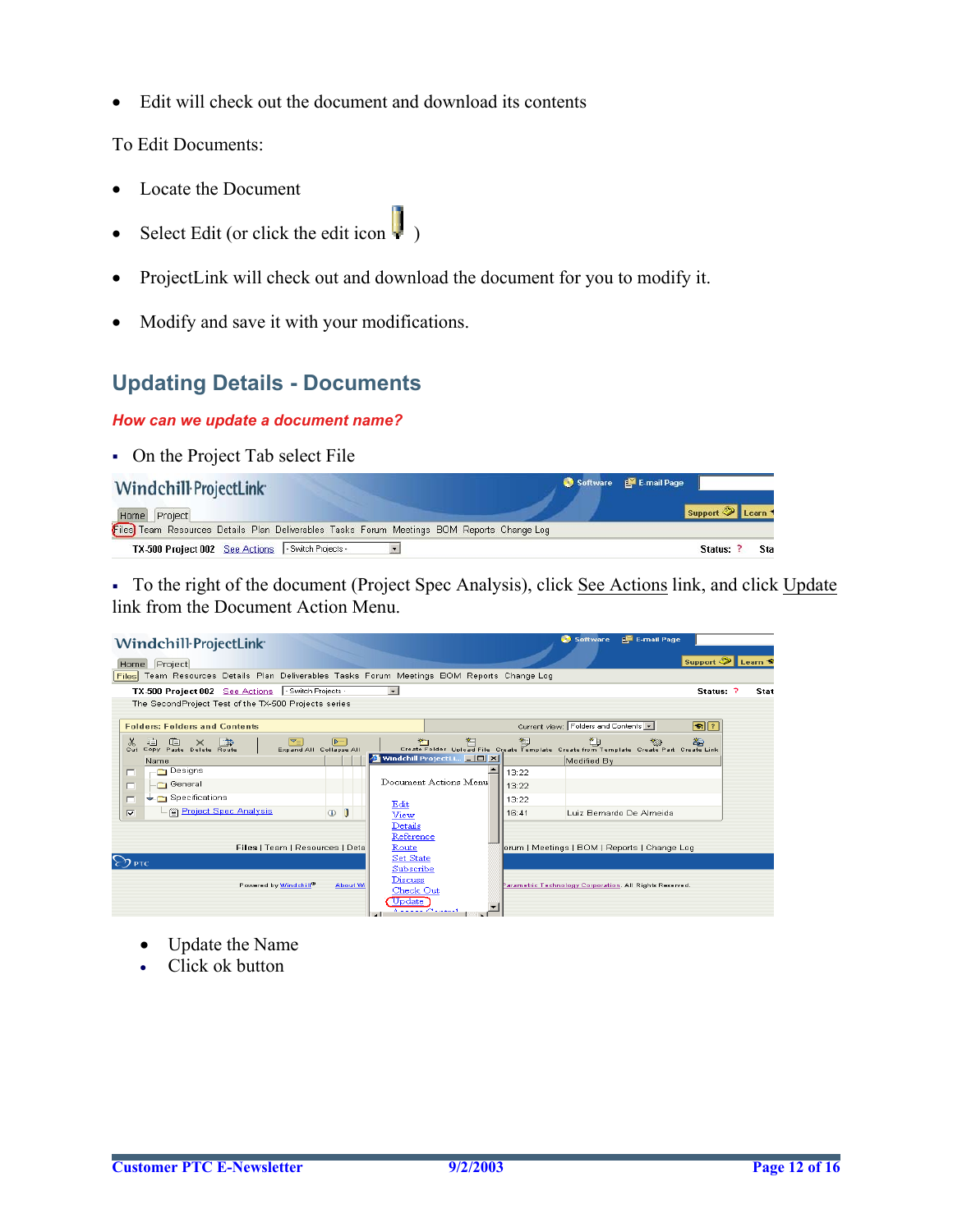• Edit will check out the document and download its contents

To Edit Documents:

- Locate the Document
- Select Edit (or click the edit icon  $\|$ )
- ProjectLink will check out and download the document for you to modify it.
- Modify and save it with your modifications.

## **Updating Details - Documents**

#### *How can we update a document name?*

On the Project Tab select File

| Windchill ProjectLink                                                                                      | Software <b>EM</b> E-mail Page |
|------------------------------------------------------------------------------------------------------------|--------------------------------|
| Home Project<br>Files Team Resources Details Plan Deliverables Tasks Forum Meetings BOM Reports Change Log | Support 2 Learn 1              |
| TX-500 Project 002 See Actions - Switch Projects -                                                         | Sta<br>Status:                 |

To the right of the document (Project Spec Analysis), click See Actions link, and click Update link from the Document Action Menu.

| Windchill ProjectLink                                                                                          |                                       | Software                                                                                         | E-mail Page                            |
|----------------------------------------------------------------------------------------------------------------|---------------------------------------|--------------------------------------------------------------------------------------------------|----------------------------------------|
| Home Project                                                                                                   |                                       |                                                                                                  | Support $\bigotimes$ Learn $\triangle$ |
| Files Team Resources Details Plan Deliverables Tasks Forum Meetings BOM Reports Change Log                     |                                       |                                                                                                  |                                        |
| TX-500 Project 002 See Actions - Switch Projects -                                                             | $\overline{\phantom{a}}$              |                                                                                                  | Status: ?<br>Stat                      |
| The SecondProject Test of the TX-500 Projects series                                                           |                                       |                                                                                                  |                                        |
|                                                                                                                |                                       |                                                                                                  |                                        |
| <b>Folders: Folders and Contents</b>                                                                           |                                       | Current view; Folders and Contents -                                                             | $\lceil \bullet \rceil$ ? $\lceil$     |
| X.<br>∫≂≘<br>上手<br>$ D -$<br>G<br>一书<br>$\mathbb{X}$<br>Cut Copy Paste Delete Route<br>Expand All Collapse All | 举                                     | 如<br>相<br>Create Folder Upload File Create Template Create from Template Create Part Create Link | 畜<br>*83                               |
| Name                                                                                                           | Windchill ProjectLi <b>THE</b>        | Modified By                                                                                      |                                        |
| ra Designs<br>$\Box$                                                                                           |                                       | 13:22                                                                                            |                                        |
| General<br>$\Box$                                                                                              | Document Actions Menu                 | 13:22                                                                                            |                                        |
| → Specifications<br>г                                                                                          |                                       | 13:22                                                                                            |                                        |
| Project Spec Analysis<br>Ð<br>$\overline{v}$<br>$\odot$                                                        | Edit<br>View                          | 16:41                                                                                            | Luiz Bernardo De Almeida               |
|                                                                                                                | Details                               |                                                                                                  |                                        |
|                                                                                                                | Reference                             |                                                                                                  |                                        |
| Files   Team   Resources   Deta                                                                                | Route                                 | orum   Meetings   BOM   Reports   Change Log                                                     |                                        |
| $\overline{\text{C}}$ ptc.                                                                                     | Set State                             |                                                                                                  |                                        |
|                                                                                                                | Subscribe                             |                                                                                                  |                                        |
| Powered by Windohill <sup>0</sup><br>About Wi                                                                  | Discuss                               | Parametric Technology Corporation. All Rights Reserved.                                          |                                        |
|                                                                                                                | Check Out                             |                                                                                                  |                                        |
|                                                                                                                | Update"<br><b>Alexander Charles A</b> |                                                                                                  |                                        |
|                                                                                                                |                                       |                                                                                                  |                                        |

- Update the Name
- Click ok button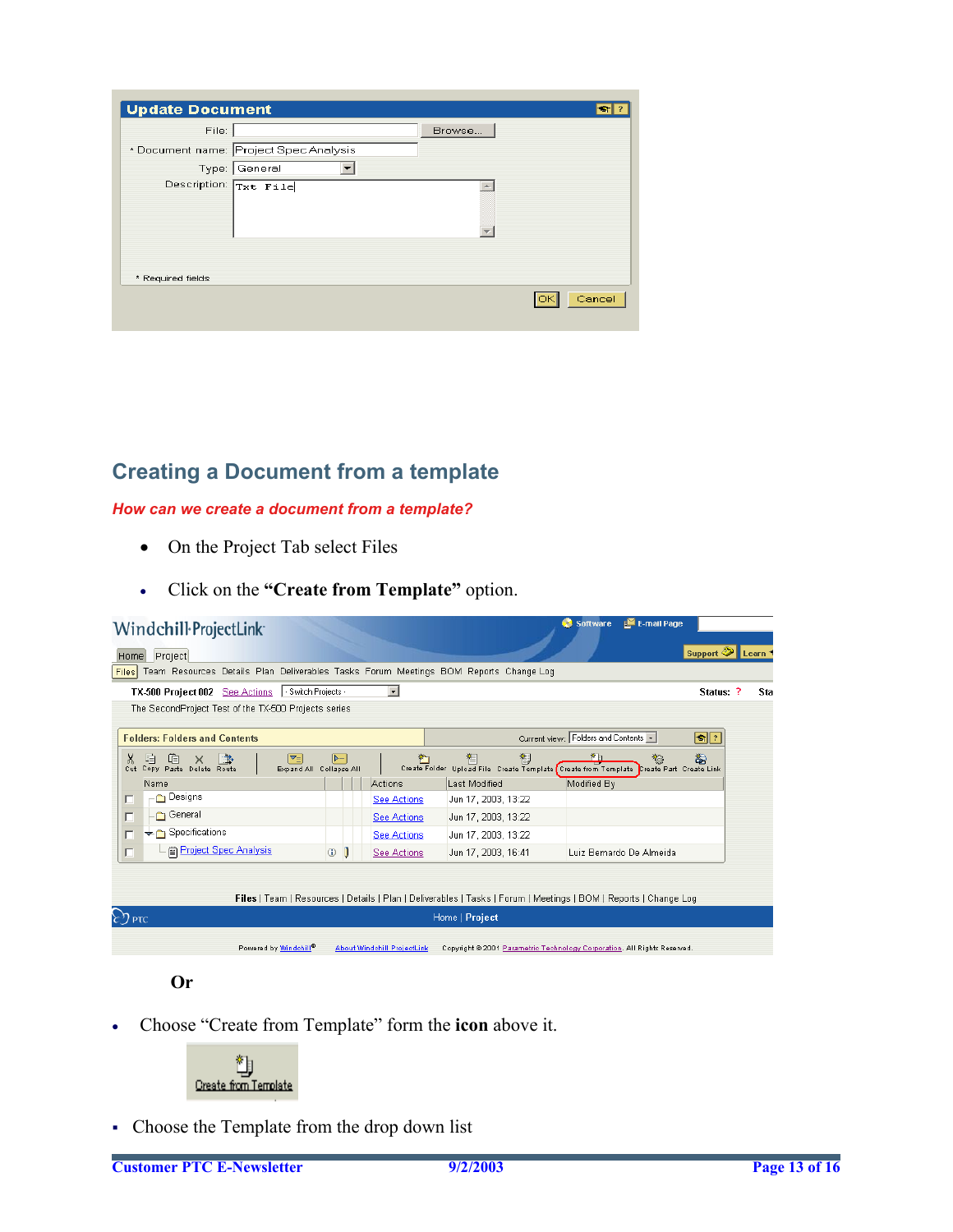| <b>Update Document</b> |                                        |        |        |
|------------------------|----------------------------------------|--------|--------|
| File:                  |                                        | Browse |        |
|                        | * Document name: Project Spec Analysis |        |        |
|                        | Type: General                          |        |        |
| Description: Txt File  |                                        |        |        |
| * Required fields      |                                        |        |        |
|                        |                                        |        | Cancel |

# **Creating a Document from a template**

#### *How can we create a document from a template?*

- On the Project Tab select Files
- Click on the **"Create from Template"** option.

| Windchill ProjectLink                                                                         |                                    |                                                                                                                  | Software E E-mail Page             |
|-----------------------------------------------------------------------------------------------|------------------------------------|------------------------------------------------------------------------------------------------------------------|------------------------------------|
| Home Project                                                                                  |                                    |                                                                                                                  | Support 2 Learn 1                  |
| Files Team Resources Details Plan Deliverables Tasks Forum Meetings BOM Reports Change Log    |                                    |                                                                                                                  |                                    |
| - Switch Projects -<br>TX-500 Project 002 See Actions                                         | $\bullet$                          |                                                                                                                  | Status: ?<br>Sta                   |
| The SecondProject Test of the TX-500 Projects series                                          |                                    |                                                                                                                  |                                    |
| <b>Folders: Folders and Contents</b>                                                          |                                    | Current view: Folders and Contents                                                                               | $\lceil \bullet \rceil$ ? $\lceil$ |
| X,<br>自<br>▼≡<br>咱<br>$\times$<br>书<br>Cut Copy Paste Delete Route<br>Expand All Collapse All | $\mathsf{D}-$                      | 作日<br>皙<br>裪<br>Create Folder Upload File Create Template Create from Template Create Part Create Link           | 畜<br>裕                             |
| Name                                                                                          | Actions                            | Modified By<br>Last Modified                                                                                     |                                    |
| in Designs<br>п                                                                               | <b>See Actions</b>                 | Jun 17, 2003, 13:22                                                                                              |                                    |
| General<br>$\Box$                                                                             | <b>See Actions</b>                 | Jun 17, 2003, 13:22                                                                                              |                                    |
| $\bigstar$ Specifications<br>$\Box$                                                           | <b>See Actions</b>                 | Jun 17, 2003, 13:22                                                                                              |                                    |
| Project Spec Analysis<br>$\Box$                                                               | $\circ$ $\circ$<br>See Actions     | Jun 17, 2003, 16:41                                                                                              | Luiz Bernardo De Almeida           |
|                                                                                               |                                    |                                                                                                                  |                                    |
|                                                                                               |                                    |                                                                                                                  |                                    |
|                                                                                               |                                    | Files   Team   Resources   Details   Plan   Deliverables   Tasks   Forum   Meetings   BOM   Reports   Change Log |                                    |
| $\epsilon$ ?) ptc                                                                             |                                    | Home   Project                                                                                                   |                                    |
| Powered by Windchill <sup>®</sup>                                                             | <b>About Windchill ProjectLink</b> | Copyright @ 2001 Parametric Technology Corporation. All Rights Reserved.                                         |                                    |

#### **Or**

• Choose "Create from Template" form the **icon** above it.



Choose the Template from the drop down list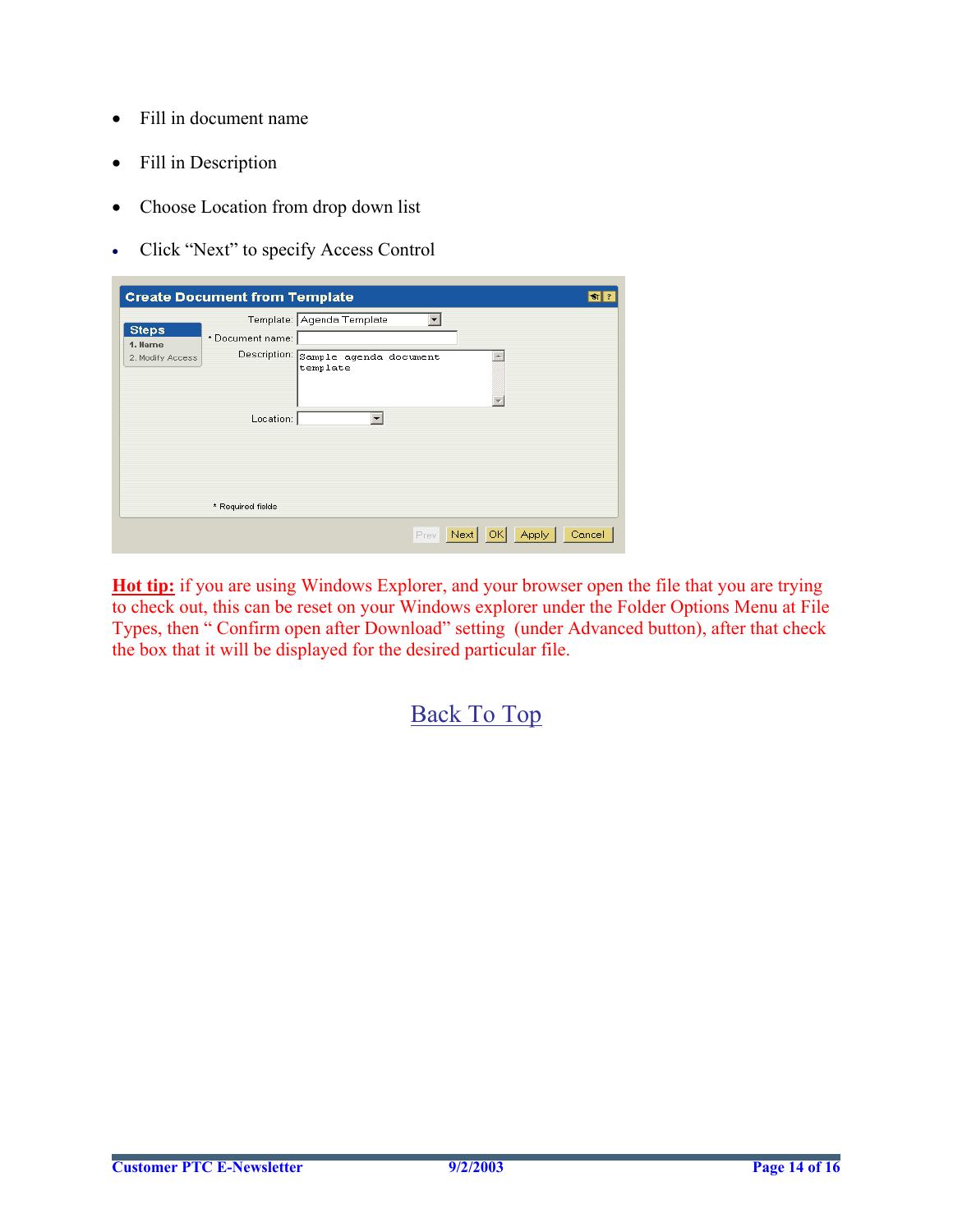- Fill in document name
- Fill in Description
- Choose Location from drop down list
- Click "Next" to specify Access Control

|                                             | <b>Create Document from Template</b> |                                                                              | ওা?                           |  |
|---------------------------------------------|--------------------------------------|------------------------------------------------------------------------------|-------------------------------|--|
| <b>Steps</b><br>1. Name<br>2. Modify Access | * Document name:                     | Template: Aqenda Template<br>Description: Sample agenda document<br>template |                               |  |
|                                             | Location:<br>* Required fields       | ٠                                                                            |                               |  |
|                                             |                                      | Prev                                                                         | Cancel<br>Apply<br>Next<br>ОΚ |  |

**Hot tip:** if you are using Windows Explorer, and your browser open the file that you are trying to check out, this can be reset on your Windows explorer under the Folder Options Menu at File Types, then " Confirm open after Download" setting (under Advanced button), after that check the box that it will be displayed for the desired particular file.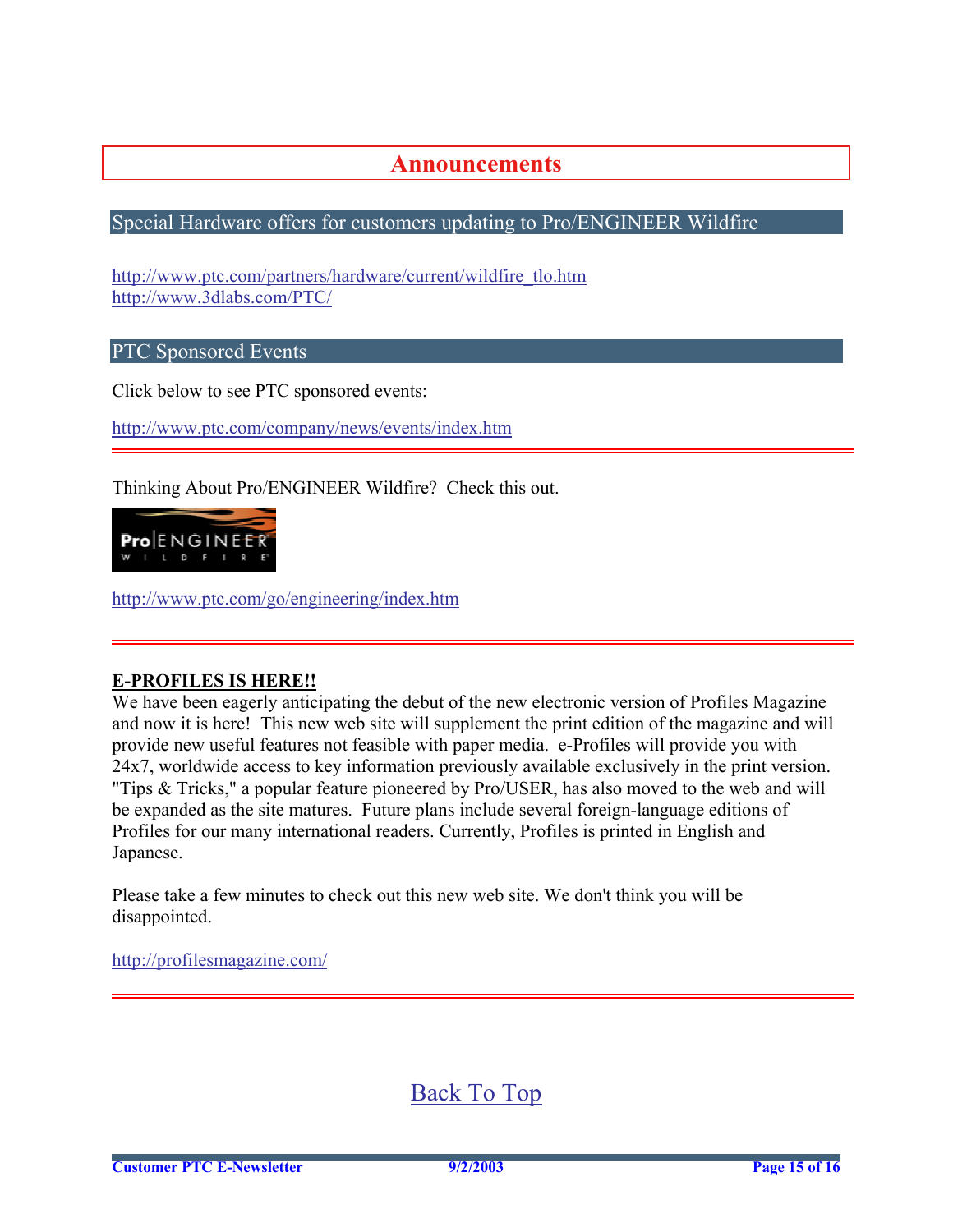## **Announcements**

#### <span id="page-14-0"></span>Special Hardware offers for customers updating to Pro/ENGINEER Wildfire

[http://www.ptc.com/partners/hardware/current/wildfire\\_tlo.htm](http://www.ptc.com/partners/hardware/current/wildfire_tlo.htm)  <http://www.3dlabs.com/PTC/>

PTC Sponsored Events

Click below to see PTC sponsored events:

<http://www.ptc.com/company/news/events/index.htm>

Thinking About Pro/ENGINEER Wildfire? Check this out.



<http://www.ptc.com/go/engineering/index.htm>

#### **E-PROFILES IS HERE!!**

We have been eagerly anticipating the debut of the new electronic version of Profiles Magazine and now it is here! This new web site will supplement the print edition of the magazine and will provide new useful features not feasible with paper media. e-Profiles will provide you with 24x7, worldwide access to key information previously available exclusively in the print version. "Tips & Tricks," a popular feature pioneered by Pro/USER, has also moved to the web and will be expanded as the site matures. Future plans include several foreign-language editions of Profiles for our many international readers. Currently, Profiles is printed in English and Japanese.

Please take a few minutes to check out this new web site. We don't think you will be disappointed.

<http://profilesmagazine.com/>